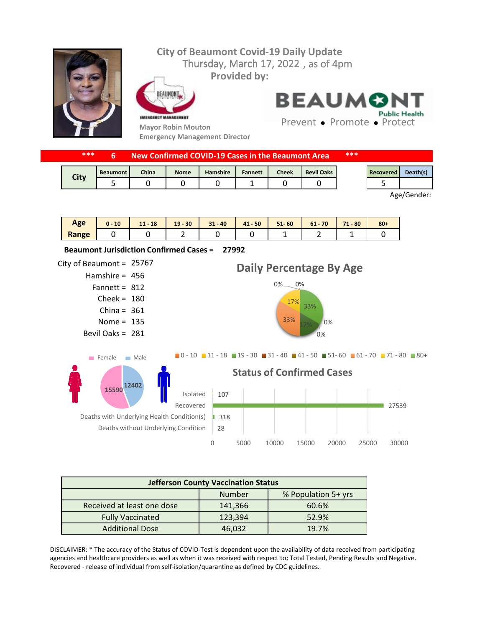

| ****<br>New Confirmed COVID-19 Cases in the Beaumont Area |                 |       |             |                 |                |              | ***               |  |           |          |
|-----------------------------------------------------------|-----------------|-------|-------------|-----------------|----------------|--------------|-------------------|--|-----------|----------|
| <b>City</b>                                               | <b>Beaumont</b> | China | <b>Nome</b> | <b>Hamshire</b> | <b>Fannett</b> | <b>Cheek</b> | <b>Bevil Oaks</b> |  | Recovered | Death(s) |
|                                                           |                 |       |             |                 |                |              |                   |  |           |          |

Age/Gender:

| Age   | 10 | $-18$<br>11 <sub>1</sub> | $19 - 30$ | $31 - 40$ | $41 - 50$ | $51 - 60$ | 70<br>$61 -$ | 71<br>$-80$<br>. . | $80 +$ |
|-------|----|--------------------------|-----------|-----------|-----------|-----------|--------------|--------------------|--------|
| Range |    |                          | -         |           |           | -         | -            | -                  |        |



| <b>Jefferson County Vaccination Status</b> |         |                     |  |  |  |  |  |
|--------------------------------------------|---------|---------------------|--|--|--|--|--|
|                                            | Number  | % Population 5+ yrs |  |  |  |  |  |
| Received at least one dose                 | 141,366 | 60.6%               |  |  |  |  |  |
| <b>Fully Vaccinated</b>                    | 123,394 | 52.9%               |  |  |  |  |  |
| <b>Additional Dose</b>                     | 46,032  | 19.7%               |  |  |  |  |  |

DISCLAIMER: \* The accuracy of the Status of COVID-Test is dependent upon the availability of data received from participating agencies and healthcare providers as well as when it was received with respect to; Total Tested, Pending Results and Negative. Recovered - release of individual from self-isolation/quarantine as defined by CDC guidelines.